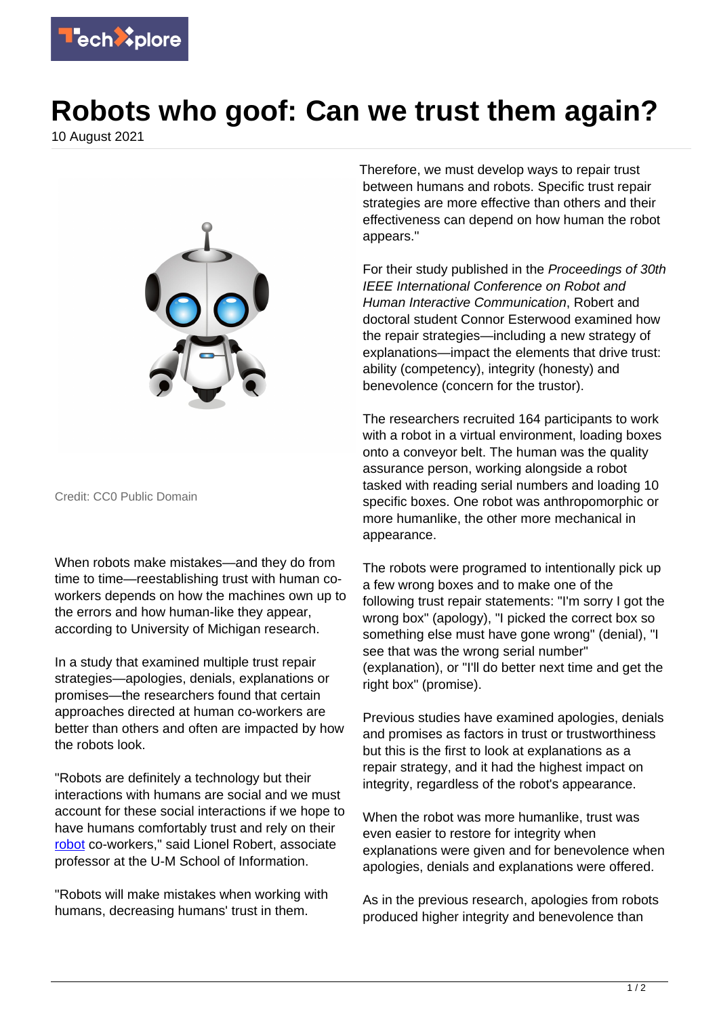

## **Robots who goof: Can we trust them again?**

10 August 2021



Credit: CC0 Public Domain

When robots make mistakes—and they do from time to time—reestablishing trust with human coworkers depends on how the machines own up to the errors and how human-like they appear, according to University of Michigan research.

In a study that examined multiple trust repair strategies—apologies, denials, explanations or promises—the researchers found that certain approaches directed at human co-workers are better than others and often are impacted by how the robots look.

"Robots are definitely a technology but their interactions with humans are social and we must account for these social interactions if we hope to have humans comfortably trust and rely on their [robot](https://techxplore.com/tags/robot/) co-workers," said Lionel Robert, associate professor at the U-M School of Information.

"Robots will make mistakes when working with humans, decreasing humans' trust in them.

Therefore, we must develop ways to repair trust between humans and robots. Specific trust repair strategies are more effective than others and their effectiveness can depend on how human the robot appears."

For their study published in the Proceedings of 30th IEEE International Conference on Robot and Human Interactive Communication, Robert and doctoral student Connor Esterwood examined how the repair strategies—including a new strategy of explanations—impact the elements that drive trust: ability (competency), integrity (honesty) and benevolence (concern for the trustor).

The researchers recruited 164 participants to work with a robot in a virtual environment, loading boxes onto a conveyor belt. The human was the quality assurance person, working alongside a robot tasked with reading serial numbers and loading 10 specific boxes. One robot was anthropomorphic or more humanlike, the other more mechanical in appearance.

The robots were programed to intentionally pick up a few wrong boxes and to make one of the following trust repair statements: "I'm sorry I got the wrong box" (apology), "I picked the correct box so something else must have gone wrong" (denial), "I see that was the wrong serial number" (explanation), or "I'll do better next time and get the right box" (promise).

Previous studies have examined apologies, denials and promises as factors in trust or trustworthiness but this is the first to look at explanations as a repair strategy, and it had the highest impact on integrity, regardless of the robot's appearance.

When the robot was more humanlike, trust was even easier to restore for integrity when explanations were given and for benevolence when apologies, denials and explanations were offered.

As in the previous research, apologies from robots produced higher integrity and benevolence than